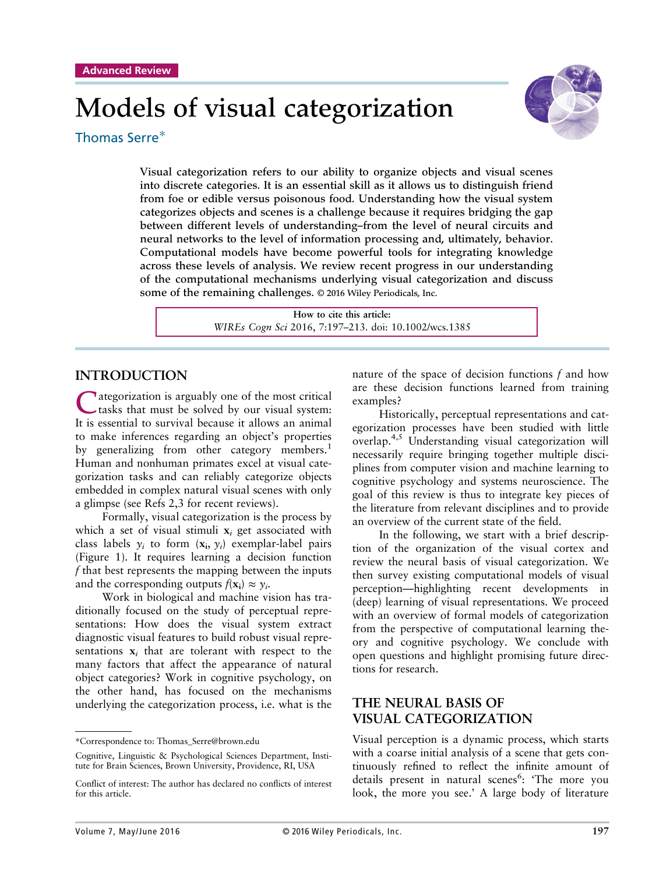# Models of visual categorization



Thomas Serre\*

Visual categorization refers to our ability to organize objects and visual scenes into discrete categories. It is an essential skill as it allows us to distinguish friend from foe or edible versus poisonous food. Understanding how the visual system categorizes objects and scenes is a challenge because it requires bridging the gap between different levels of understanding–from the level of neural circuits and neural networks to the level of information processing and, ultimately, behavior. Computational models have become powerful tools for integrating knowledge across these levels of analysis. We review recent progress in our understanding of the computational mechanisms underlying visual categorization and discuss some of the remaining challenges. © 2016 Wiley Periodicals, Inc.

> **How to cite this article:** *WIREs Cogn Sci* 2016, 7:197–213. doi: 10.1002/wcs.1385

#### **INTRODUCTION**

ategorization is arguably one of the most critical tasks that must be solved by our visual system: It is essential to survival because it allows an animal to make inferences regarding an object's properties by generalizing from other category members.<sup>1</sup> Human and nonhuman primates excel at visual categorization tasks and can reliably categorize objects embedded in complex natural visual scenes with only a glimpse (see Refs 2,3 for recent reviews).

Formally, visual categorization is the process by which a set of visual stimuli  $x_i$  get associated with class labels  $y_i$  to form  $(x_i, y_i)$  exemplar-label pairs (Figure 1). It requires learning a decision function *f* that best represents the mapping between the inputs and the corresponding outputs  $f(\mathbf{x_i}) \approx \gamma_i$ .

Work in biological and machine vision has traditionally focused on the study of perceptual representations: How does the visual system extract diagnostic visual features to build robust visual representations  $x_i$  that are tolerant with respect to the many factors that affect the appearance of natural object categories? Work in cognitive psychology, on the other hand, has focused on the mechanisms underlying the categorization process, i.e. what is the

nature of the space of decision functions *f* and how are these decision functions learned from training examples?

Historically, perceptual representations and categorization processes have been studied with little overlap.4,5 Understanding visual categorization will necessarily require bringing together multiple disciplines from computer vision and machine learning to cognitive psychology and systems neuroscience. The goal of this review is thus to integrate key pieces of the literature from relevant disciplines and to provide an overview of the current state of the field.

In the following, we start with a brief description of the organization of the visual cortex and review the neural basis of visual categorization. We then survey existing computational models of visual perception—highlighting recent developments in (deep) learning of visual representations. We proceed with an overview of formal models of categorization from the perspective of computational learning theory and cognitive psychology. We conclude with open questions and highlight promising future directions for research.

# **THE NEURAL BASIS OF VISUAL CATEGORIZATION**

Visual perception is a dynamic process, which starts with a coarse initial analysis of a scene that gets continuously refined to reflect the infinite amount of details present in natural scenes<sup>6</sup>: 'The more you look, the more you see.' A large body of literature

<sup>\*</sup>Correspondence to: Thomas\_Serre@brown.edu

Cognitive, Linguistic & Psychological Sciences Department, Institute for Brain Sciences, Brown University, Providence, RI, USA

Conflict of interest: The author has declared no conflicts of interest for this article.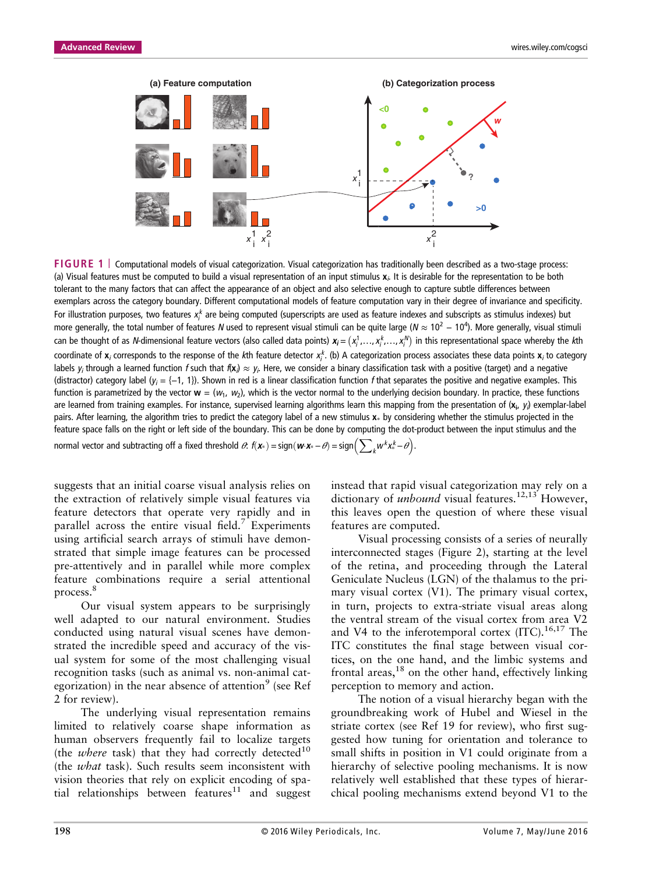

**FIGURE 1** | Computational models of visual categorization. Visual categorization has traditionally been described as a two-stage process: (a) Visual features must be computed to build a visual representation of an input stimulus **x**<sup>i</sup> . It is desirable for the representation to be both tolerant to the many factors that can affect the appearance of an object and also selective enough to capture subtle differences between exemplars across the category boundary. Different computational models of feature computation vary in their degree of invariance and specificity. For illustration purposes, two features  $x_i^k$  are being computed (superscripts are used as feature indexes and subscripts as stimulus indexes) but more generally, the total number of features N used to represent visual stimuli can be quite large (N  $\approx$  10<sup>2</sup>  $-$  10<sup>4</sup>). More generally, visual stimuli can be thought of as N-dimensional feature vectors (also called data points)  $\mathbf{x}_i=(x_i^1,\ldots,x_i^k,\ldots,x_i^N)$  in this representational space whereby the *k*th coordinate of  $\mathbf{x}_i$  corresponds to the response of the kth feature detector  $x_i^k$ . (b) A categorization process associates these data points  $\mathbf{x}_i$  to category labels  $y_i$  through a learned function f such that  $f(\mathbf{x}_i) \approx y_i$ . Here, we consider a binary classification task with a positive (target) and a negative (distractor) category label ( $y_i = \{-1, 1\}$ ). Shown in red is a linear classification function f that separates the positive and negative examples. This function is parametrized by the vector  $w = (w_1, w_2)$ , which is the vector normal to the underlying decision boundary. In practice, these functions are learned from training examples. For instance, supervised learning algorithms learn this mapping from the presentation of (**x**<sub>i</sub>, *y<sub>i</sub>*) exemplar-label pairs. After learning, the algorithm tries to predict the category label of a new stimulus **x**\* by considering whether the stimulus projected in the feature space falls on the right or left side of the boundary. This can be done by computing the dot-product between the input stimulus and the  $\textsf{normal vector} \textsf{ and } \textsf{subtracting off} \textsf{ a fixed threshold } \theta \textsf{.} \textsf{ } f(\textbf{x}_*) = \textsf{sign}(\textbf{w} {\cdot} \textbf{x}_* - \theta) = \textsf{sign}\Big(\sum\nolimits_k \!w^k x^k_*\! - \theta\Big).$ 

suggests that an initial coarse visual analysis relies on the extraction of relatively simple visual features via feature detectors that operate very rapidly and in parallel across the entire visual field.<sup>7</sup> Experiments using artificial search arrays of stimuli have demonstrated that simple image features can be processed pre-attentively and in parallel while more complex feature combinations require a serial attentional process.<sup>8</sup>

Our visual system appears to be surprisingly well adapted to our natural environment. Studies conducted using natural visual scenes have demonstrated the incredible speed and accuracy of the visual system for some of the most challenging visual recognition tasks (such as animal vs. non-animal categorization) in the near absence of attention $\degree$  (see Ref 2 for review).

The underlying visual representation remains limited to relatively coarse shape information as human observers frequently fail to localize targets (the *where* task) that they had correctly detected<sup>10</sup> (the *what* task). Such results seem inconsistent with vision theories that rely on explicit encoding of spatial relationships between  $f$ eatures<sup>11</sup> and suggest instead that rapid visual categorization may rely on a dictionary of *unbound* visual features.<sup>12,13</sup> However, this leaves open the question of where these visual features are computed.

Visual processing consists of a series of neurally interconnected stages (Figure 2), starting at the level of the retina, and proceeding through the Lateral Geniculate Nucleus (LGN) of the thalamus to the primary visual cortex (V1). The primary visual cortex, in turn, projects to extra-striate visual areas along the ventral stream of the visual cortex from area V2 and V4 to the inferotemporal cortex  $(ITC).^{16,17}$  The ITC constitutes the final stage between visual cortices, on the one hand, and the limbic systems and frontal areas, $18$  on the other hand, effectively linking perception to memory and action.

The notion of a visual hierarchy began with the groundbreaking work of Hubel and Wiesel in the striate cortex (see Ref 19 for review), who first suggested how tuning for orientation and tolerance to small shifts in position in V1 could originate from a hierarchy of selective pooling mechanisms. It is now relatively well established that these types of hierarchical pooling mechanisms extend beyond V1 to the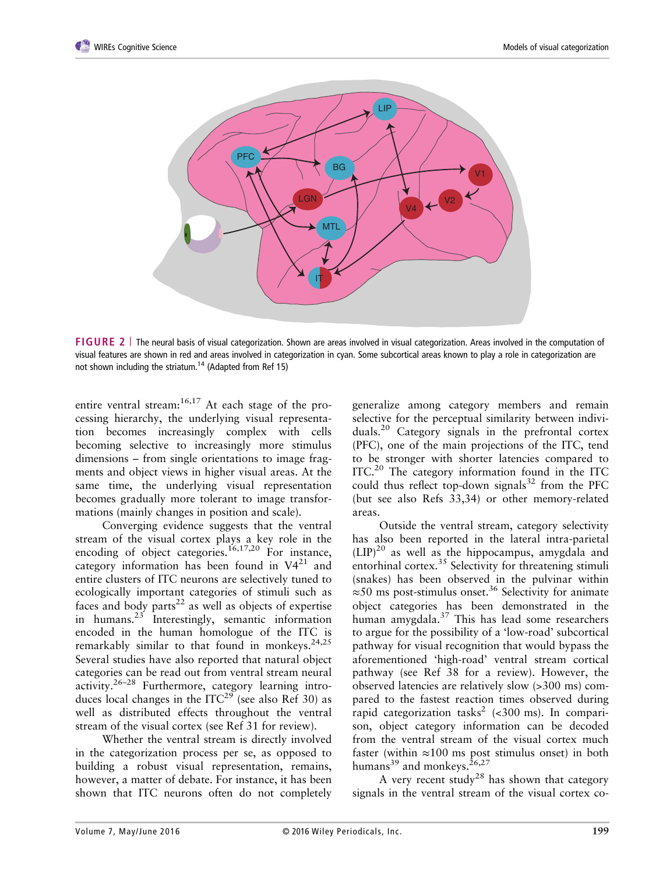

**FIGURE 2** | The neural basis of visual categorization. Shown are areas involved in visual categorization. Areas involved in the computation of visual features are shown in red and areas involved in categorization in cyan. Some subcortical areas known to play a role in categorization are not shown including the striatum.<sup>14</sup> (Adapted from Ref 15)

entire ventral stream:  $16,17$  At each stage of the processing hierarchy, the underlying visual representation becomes increasingly complex with cells becoming selective to increasingly more stimulus dimensions – from single orientations to image fragments and object views in higher visual areas. At the same time, the underlying visual representation becomes gradually more tolerant to image transformations (mainly changes in position and scale).

Converging evidence suggests that the ventral stream of the visual cortex plays a key role in the encoding of object categories.<sup>16,17,20</sup> For instance, category information has been found in  $V4^{21}$  and entire clusters of ITC neurons are selectively tuned to ecologically important categories of stimuli such as faces and body parts<sup>22</sup> as well as objects of expertise in humans.<sup>23</sup> Interestingly, semantic information encoded in the human homologue of the ITC is remarkably similar to that found in monkeys.<sup>24,25</sup> Several studies have also reported that natural object categories can be read out from ventral stream neural activity.<sup>26-28</sup> Furthermore, category learning introduces local changes in the  $ITC<sup>29</sup>$  (see also Ref 30) as well as distributed effects throughout the ventral stream of the visual cortex (see Ref 31 for review).

Whether the ventral stream is directly involved in the categorization process per se, as opposed to building a robust visual representation, remains, however, a matter of debate. For instance, it has been shown that ITC neurons often do not completely

generalize among category members and remain selective for the perceptual similarity between individuals.20 Category signals in the prefrontal cortex (PFC), one of the main projections of the ITC, tend to be stronger with shorter latencies compared to ITC.<sup>20</sup> The category information found in the ITC could thus reflect top-down signals $32$  from the PFC (but see also Refs 33,34) or other memory-related areas.

Outside the ventral stream, category selectivity has also been reported in the lateral intra-parietal  $(LIP)^{20}$  as well as the hippocampus, amygdala and entorhinal cortex.<sup>35</sup> Selectivity for threatening stimuli (snakes) has been observed in the pulvinar within  $\approx$ 50 ms post-stimulus onset.<sup>36</sup> Selectivity for animate object categories has been demonstrated in the human amygdala. $37$  This has lead some researchers to argue for the possibility of a 'low-road' subcortical pathway for visual recognition that would bypass the aforementioned 'high-road' ventral stream cortical pathway (see Ref 38 for a review). However, the observed latencies are relatively slow (>300 ms) compared to the fastest reaction times observed during rapid categorization tasks<sup>2</sup> (<300 ms). In comparison, object category information can be decoded from the ventral stream of the visual cortex much faster (within  $\approx$ 100 ms post stimulus onset) in both humans $^{39}$  and monkeys.  $^{26,27}$ 

A very recent study<sup>28</sup> has shown that category signals in the ventral stream of the visual cortex co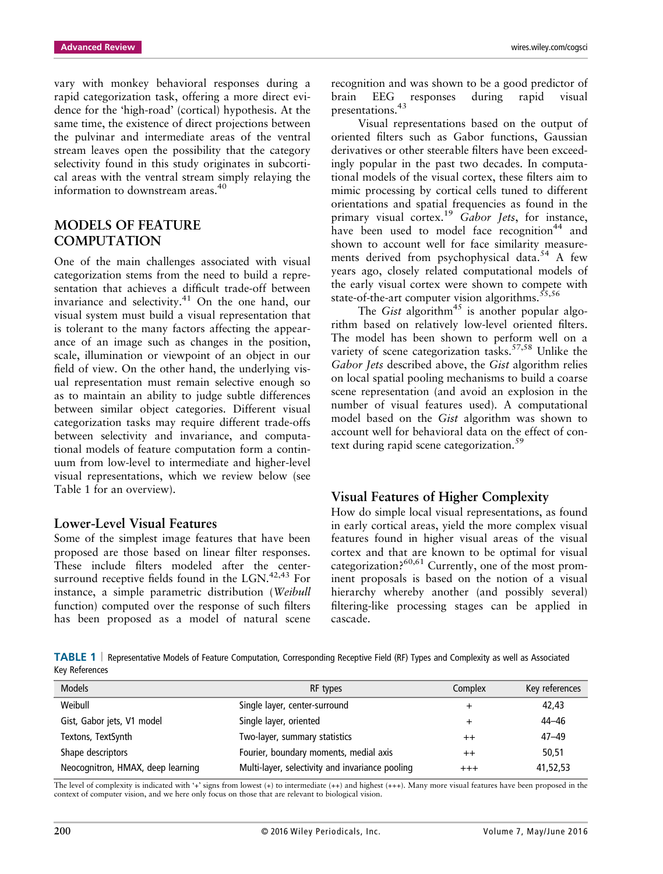vary with monkey behavioral responses during a rapid categorization task, offering a more direct evidence for the 'high-road' (cortical) hypothesis. At the same time, the existence of direct projections between the pulvinar and intermediate areas of the ventral stream leaves open the possibility that the category selectivity found in this study originates in subcortical areas with the ventral stream simply relaying the information to downstream areas.<sup>40</sup>

### **MODELS OF FEATURE COMPUTATION**

One of the main challenges associated with visual categorization stems from the need to build a representation that achieves a difficult trade-off between invariance and selectivity. $41$  On the one hand, our visual system must build a visual representation that is tolerant to the many factors affecting the appearance of an image such as changes in the position, scale, illumination or viewpoint of an object in our field of view. On the other hand, the underlying visual representation must remain selective enough so as to maintain an ability to judge subtle differences between similar object categories. Different visual categorization tasks may require different trade-offs between selectivity and invariance, and computational models of feature computation form a continuum from low-level to intermediate and higher-level visual representations, which we review below (see Table 1 for an overview).

#### **Lower-Level Visual Features**

Some of the simplest image features that have been proposed are those based on linear filter responses. These include filters modeled after the centersurround receptive fields found in the LGN. $42,43$  For instance, a simple parametric distribution (*Weibull* function) computed over the response of such filters has been proposed as a model of natural scene

recognition and was shown to be a good predictor of brain EEG responses during rapid visual presentations.<sup>43</sup>

Visual representations based on the output of oriented filters such as Gabor functions, Gaussian derivatives or other steerable filters have been exceedingly popular in the past two decades. In computational models of the visual cortex, these filters aim to mimic processing by cortical cells tuned to different orientations and spatial frequencies as found in the primary visual cortex.<sup>19</sup> *Gabor Jets*, for instance, have been used to model face recognition<sup>44</sup> and shown to account well for face similarity measurements derived from psychophysical data.<sup>54</sup> A few years ago, closely related computational models of the early visual cortex were shown to compete with state-of-the-art computer vision algorithms.  $55,56$ 

The *Gist* algorithm<sup>45</sup> is another popular algorithm based on relatively low-level oriented filters. The model has been shown to perform well on a variety of scene categorization tasks. $57,58$  Unlike the *Gabor Jets* described above, the *Gist* algorithm relies on local spatial pooling mechanisms to build a coarse scene representation (and avoid an explosion in the number of visual features used). A computational model based on the *Gist* algorithm was shown to account well for behavioral data on the effect of context during rapid scene categorization.<sup>59</sup>

#### **Visual Features of Higher Complexity**

How do simple local visual representations, as found in early cortical areas, yield the more complex visual features found in higher visual areas of the visual cortex and that are known to be optimal for visual categorization? $60,61$  Currently, one of the most prominent proposals is based on the notion of a visual hierarchy whereby another (and possibly several) filtering-like processing stages can be applied in cascade.

**TABLE 1** | Representative Models of Feature Computation, Corresponding Receptive Field (RF) Types and Complexity as well as Associated Key References

| <b>Models</b>                     | RF types                                        | Complex  | Key references |
|-----------------------------------|-------------------------------------------------|----------|----------------|
| Weibull                           | Single layer, center-surround                   |          | 42,43          |
| Gist, Gabor jets, V1 model        | Single layer, oriented                          |          | $44 - 46$      |
| Textons, TextSynth                | Two-layer, summary statistics                   | $++$     | $47 - 49$      |
| Shape descriptors                 | Fourier, boundary moments, medial axis          | $^{++}$  | 50,51          |
| Neocognitron, HMAX, deep learning | Multi-layer, selectivity and invariance pooling | $^{+++}$ | 41,52,53       |

The level of complexity is indicated with '+' signs from lowest (+) to intermediate  $(++)$  and highest  $(++)$ . Many more visual features have been proposed in the context of computer vision, and we here only focus on those that are relevant to biological vision.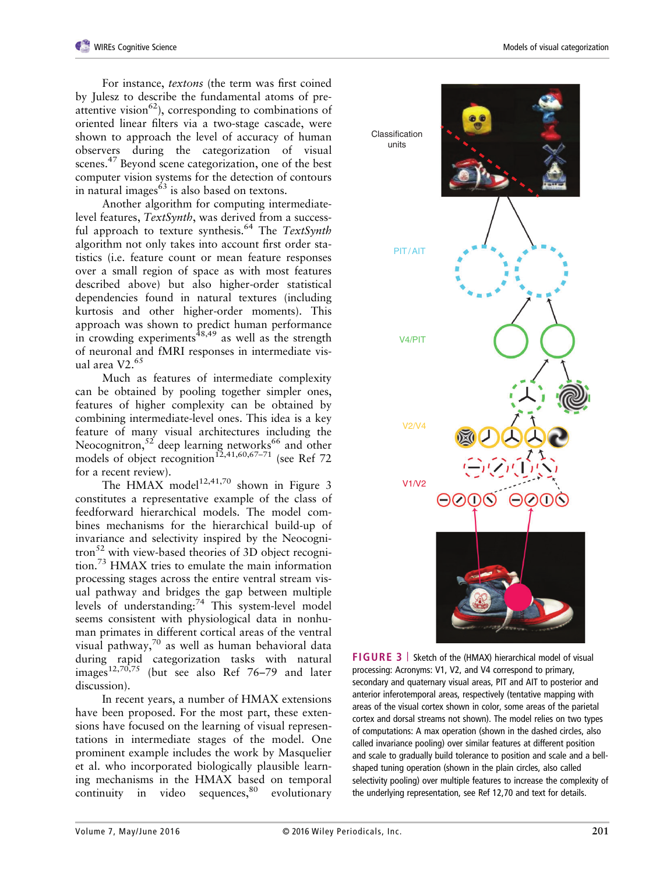For instance, *textons* (the term was first coined by Julesz to describe the fundamental atoms of preattentive vision<sup>62</sup>), corresponding to combinations of oriented linear filters via a two-stage cascade, were shown to approach the level of accuracy of human observers during the categorization of visual scenes.<sup>47</sup> Beyond scene categorization, one of the best computer vision systems for the detection of contours

in natural images $^{63}$  is also based on textons. Another algorithm for computing intermediatelevel features, *TextSynth*, was derived from a successful approach to texture synthesis.<sup>64</sup> The *TextSynth* algorithm not only takes into account first order statistics (i.e. feature count or mean feature responses over a small region of space as with most features described above) but also higher-order statistical dependencies found in natural textures (including kurtosis and other higher-order moments). This approach was shown to predict human performance in crowding experiments<sup>48,49</sup> as well as the strength of neuronal and fMRI responses in intermediate visual area  $V2.^{65}$ 

Much as features of intermediate complexity can be obtained by pooling together simpler ones, features of higher complexity can be obtained by combining intermediate-level ones. This idea is a key feature of many visual architectures including the Neocognitron,<sup>52</sup> deep learning networks<sup>66</sup> and other models of object recognition<sup>12,41,60,67-71</sup> (see Ref 72 for a recent review).

The HMAX model<sup>12,41,70</sup> shown in Figure 3 constitutes a representative example of the class of feedforward hierarchical models. The model combines mechanisms for the hierarchical build-up of invariance and selectivity inspired by the Neocogni $tron<sup>52</sup>$  with view-based theories of 3D object recognition.<sup>73</sup> HMAX tries to emulate the main information processing stages across the entire ventral stream visual pathway and bridges the gap between multiple levels of understanding:<sup>74</sup> This system-level model seems consistent with physiological data in nonhuman primates in different cortical areas of the ventral visual pathway,<sup>70</sup> as well as human behavioral data during rapid categorization tasks with natural images<sup>12,70,75</sup> (but see also Ref  $76-79$  and later discussion).

In recent years, a number of HMAX extensions have been proposed. For the most part, these extensions have focused on the learning of visual representations in intermediate stages of the model. One prominent example includes the work by Masquelier et al. who incorporated biologically plausible learning mechanisms in the HMAX based on temporal continuity in video sequences, $80$  evolutionary



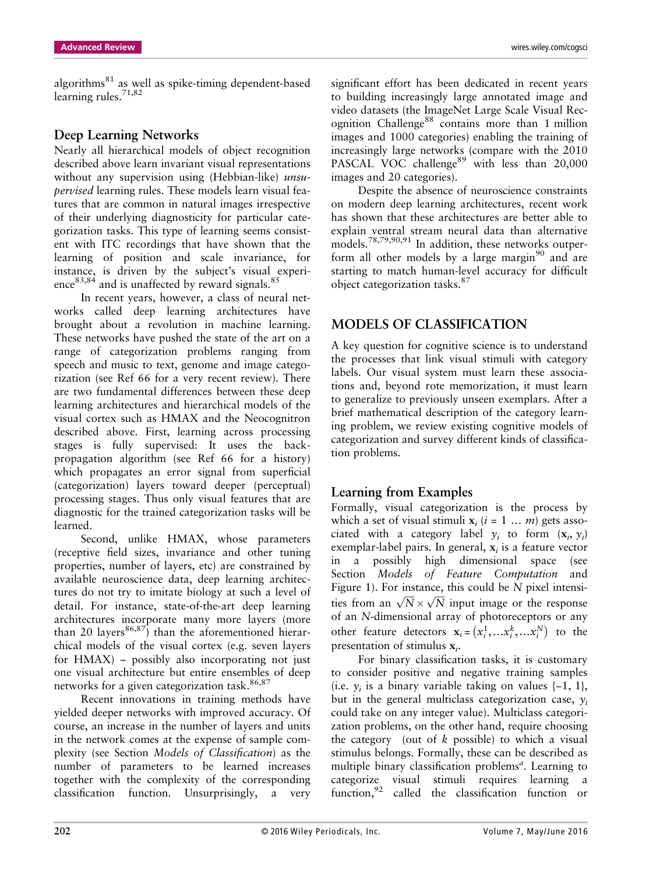algorithms $81$  as well as spike-timing dependent-based learning rules.<sup>71,82</sup>

# **Deep Learning Networks**

Nearly all hierarchical models of object recognition described above learn invariant visual representations without any supervision using (Hebbian-like) *unsupervised* learning rules. These models learn visual features that are common in natural images irrespective of their underlying diagnosticity for particular categorization tasks. This type of learning seems consistent with ITC recordings that have shown that the learning of position and scale invariance, for instance, is driven by the subject's visual experience<sup>83,84</sup> and is unaffected by reward signals.<sup>85</sup>

In recent years, however, a class of neural networks called deep learning architectures have brought about a revolution in machine learning. These networks have pushed the state of the art on a range of categorization problems ranging from speech and music to text, genome and image categorization (see Ref 66 for a very recent review). There are two fundamental differences between these deep learning architectures and hierarchical models of the visual cortex such as HMAX and the Neocognitron described above. First, learning across processing stages is fully supervised: It uses the backpropagation algorithm (see Ref 66 for a history) which propagates an error signal from superficial (categorization) layers toward deeper (perceptual) processing stages. Thus only visual features that are diagnostic for the trained categorization tasks will be learned.

Second, unlike HMAX, whose parameters (receptive field sizes, invariance and other tuning properties, number of layers, etc) are constrained by available neuroscience data, deep learning architectures do not try to imitate biology at such a level of detail. For instance, state-of-the-art deep learning architectures incorporate many more layers (more than 20 layers<sup>86,87</sup>) than the aforementioned hierarchical models of the visual cortex (e.g. seven layers for HMAX) – possibly also incorporating not just one visual architecture but entire ensembles of deep networks for a given categorization task.<sup>86,87</sup>

Recent innovations in training methods have yielded deeper networks with improved accuracy. Of course, an increase in the number of layers and units in the network comes at the expense of sample complexity (see Section *Models of Classification*) as the number of parameters to be learned increases together with the complexity of the corresponding classification function. Unsurprisingly, a very

significant effort has been dedicated in recent years to building increasingly large annotated image and video datasets (the ImageNet Large Scale Visual Recognition Challenge<sup>88</sup> contains more than 1 million images and 1000 categories) enabling the training of increasingly large networks (compare with the 2010 PASCAL VOC challenge<sup>89</sup> with less than 20,000 images and 20 categories).

Despite the absence of neuroscience constraints on modern deep learning architectures, recent work has shown that these architectures are better able to explain ventral stream neural data than alternative models.78,79,90,91 In addition, these networks outperform all other models by a large margin $90$  and are starting to match human-level accuracy for difficult object categorization tasks.<sup>87</sup>

# **MODELS OF CLASSIFICATION**

A key question for cognitive science is to understand the processes that link visual stimuli with category labels. Our visual system must learn these associations and, beyond rote memorization, it must learn to generalize to previously unseen exemplars. After a brief mathematical description of the category learning problem, we review existing cognitive models of categorization and survey different kinds of classification problems.

# **Learning from Examples**

Formally, visual categorization is the process by which a set of visual stimuli  $\mathbf{x}_i$  ( $i = 1 \dots m$ ) gets associated with a category label  $y_i$  to form  $(\mathbf{x}_i, y_i)$ exemplar-label pairs. In general, **x***<sup>i</sup>* is a feature vector in a possibly high dimensional space (see Section *Models of Feature Computation* and Figure 1). For instance, this could be *N* pixel intensities from an  $\sqrt{N} \times \sqrt{N}$  input image or the response of an *N*-dimensional array of photoreceptors or any other feature detectors  $\mathbf{x}_i = (x_i^1, \dots, x_i^k, \dots, x_i^N)$  to the presentation of stimulus **x***i*.

For binary classification tasks, it is customary to consider positive and negative training samples (i.e.  $\gamma_i$  is a binary variable taking on values  $\{-1, 1\}$ , but in the general multiclass categorization case, *yi* could take on any integer value). Multiclass categorization problems, on the other hand, require choosing the category (out of *k* possible) to which a visual stimulus belongs. Formally, these can be described as multiple binary classification problems*<sup>a</sup>* . Learning to categorize visual stimuli requires learning a function,  $92$  called the classification function or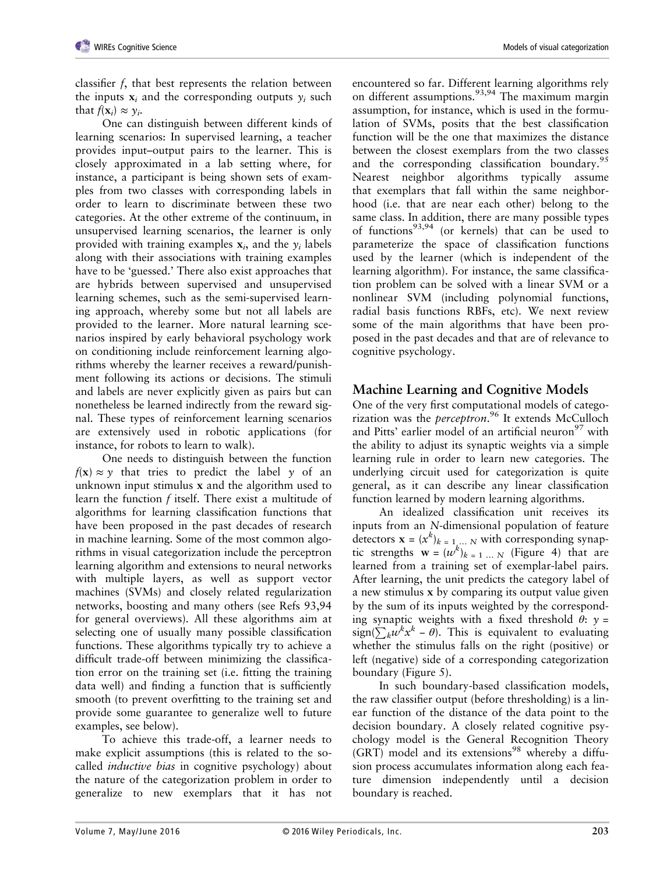classifier *f*, that best represents the relation between the inputs  $x_i$  and the corresponding outputs  $y_i$  such that  $f(\mathbf{x}_i) \approx \gamma_i$ .

One can distinguish between different kinds of learning scenarios: In supervised learning, a teacher provides input–output pairs to the learner. This is closely approximated in a lab setting where, for instance, a participant is being shown sets of examples from two classes with corresponding labels in order to learn to discriminate between these two categories. At the other extreme of the continuum, in unsupervised learning scenarios, the learner is only provided with training examples  $\mathbf{x}_i$ , and the  $y_i$  labels along with their associations with training examples have to be 'guessed.' There also exist approaches that are hybrids between supervised and unsupervised learning schemes, such as the semi-supervised learning approach, whereby some but not all labels are provided to the learner. More natural learning scenarios inspired by early behavioral psychology work on conditioning include reinforcement learning algorithms whereby the learner receives a reward/punishment following its actions or decisions. The stimuli and labels are never explicitly given as pairs but can nonetheless be learned indirectly from the reward signal. These types of reinforcement learning scenarios are extensively used in robotic applications (for instance, for robots to learn to walk).

One needs to distinguish between the function  $f(x) \approx y$  that tries to predict the label *y* of an unknown input stimulus **x** and the algorithm used to learn the function *f* itself. There exist a multitude of algorithms for learning classification functions that have been proposed in the past decades of research in machine learning. Some of the most common algorithms in visual categorization include the perceptron learning algorithm and extensions to neural networks with multiple layers, as well as support vector machines (SVMs) and closely related regularization networks, boosting and many others (see Refs 93,94 for general overviews). All these algorithms aim at selecting one of usually many possible classification functions. These algorithms typically try to achieve a difficult trade-off between minimizing the classification error on the training set (i.e. fitting the training data well) and finding a function that is sufficiently smooth (to prevent overfitting to the training set and provide some guarantee to generalize well to future examples, see below).

To achieve this trade-off, a learner needs to make explicit assumptions (this is related to the socalled *inductive bias* in cognitive psychology) about the nature of the categorization problem in order to generalize to new exemplars that it has not encountered so far. Different learning algorithms rely on different assumptions.<sup>93,94</sup> The maximum margin assumption, for instance, which is used in the formulation of SVMs, posits that the best classification function will be the one that maximizes the distance between the closest exemplars from the two classes and the corresponding classification boundary.<sup>95</sup> Nearest neighbor algorithms typically assume that exemplars that fall within the same neighborhood (i.e. that are near each other) belong to the same class. In addition, there are many possible types of functions<sup>93,94</sup> (or kernels) that can be used to parameterize the space of classification functions used by the learner (which is independent of the learning algorithm). For instance, the same classification problem can be solved with a linear SVM or a nonlinear SVM (including polynomial functions, radial basis functions RBFs, etc). We next review some of the main algorithms that have been proposed in the past decades and that are of relevance to cognitive psychology.

# **Machine Learning and Cognitive Models**

One of the very first computational models of categorization was the *perceptron*. <sup>96</sup> It extends McCulloch and Pitts' earlier model of an artificial neuron $97$  with the ability to adjust its synaptic weights via a simple learning rule in order to learn new categories. The underlying circuit used for categorization is quite general, as it can describe any linear classification function learned by modern learning algorithms.

An idealized classification unit receives its inputs from an *N*-dimensional population of feature detectors  $\mathbf{x} = (x^k)_{k=1,...,N}$  with corresponding synaptic strengths  $\mathbf{w} = (w^k)_{k=1...N}$  (Figure 4) that are learned from a training set of exemplar-label pairs. After learning, the unit predicts the category label of a new stimulus **x** by comparing its output value given by the sum of its inputs weighted by the corresponding synaptic weights with a fixed threshold *θ*: *y* =  $sign(\sum_{k}w^{k}x^{k} - \theta)$ . This is equivalent to evaluating whether the stimulus falls on the right (positive) or left (negative) side of a corresponding categorization boundary (Figure 5).

In such boundary-based classification models, the raw classifier output (before thresholding) is a linear function of the distance of the data point to the decision boundary. A closely related cognitive psychology model is the General Recognition Theory  $(GRT)$  model and its extensions<sup>98</sup> whereby a diffusion process accumulates information along each feature dimension independently until a decision boundary is reached.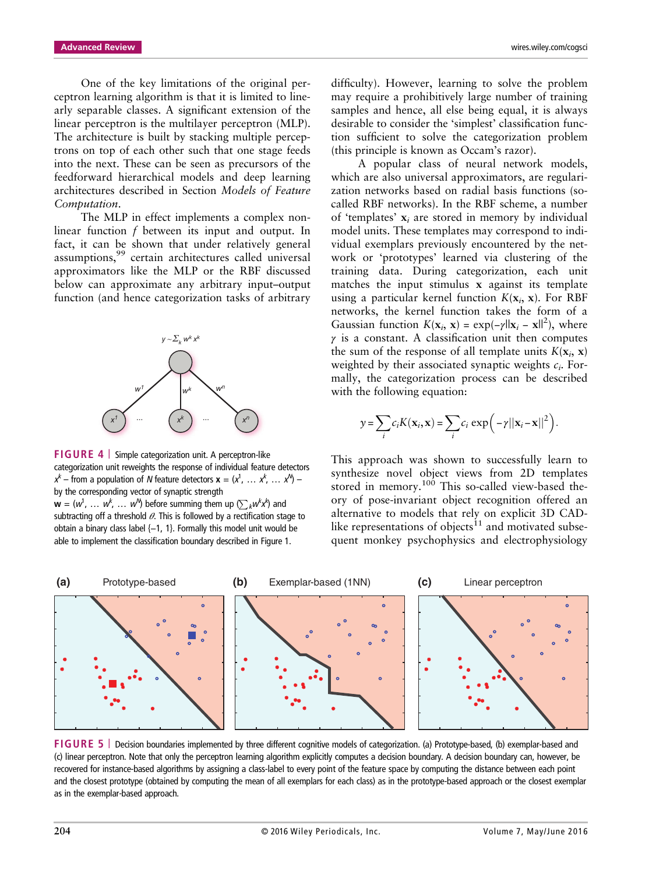One of the key limitations of the original perceptron learning algorithm is that it is limited to linearly separable classes. A significant extension of the linear perceptron is the multilayer perceptron (MLP). The architecture is built by stacking multiple perceptrons on top of each other such that one stage feeds into the next. These can be seen as precursors of the feedforward hierarchical models and deep learning architectures described in Section *Models of Feature Computation*.

The MLP in effect implements a complex nonlinear function *f* between its input and output. In fact, it can be shown that under relatively general assumptions,<sup>99</sup> certain architectures called universal approximators like the MLP or the RBF discussed below can approximate any arbitrary input–output function (and hence categorization tasks of arbitrary



**FIGURE 4** | Simple categorization unit. A perceptron-like categorization unit reweights the response of individual feature detectors  $x^k$  – from a population of N feature detectors  $\mathbf{x} = (x^1, \ldots, x^k, \ldots, x^N)$  – by the corresponding vector of synaptic strength  $\mathbf{w} = (w^1, \dots w^k, \dots w^N)$  before summing them up  $(\sum_k w^k x^k)$  and subtracting off a threshold *<sup>θ</sup>*. This is followed by a rectification stage to obtain a binary class label {−1, 1}. Formally this model unit would be able to implement the classification boundary described in Figure 1.

difficulty). However, learning to solve the problem may require a prohibitively large number of training samples and hence, all else being equal, it is always desirable to consider the 'simplest' classification function sufficient to solve the categorization problem (this principle is known as Occam's razor).

A popular class of neural network models, which are also universal approximators, are regularization networks based on radial basis functions (socalled RBF networks). In the RBF scheme, a number of 'templates' **x***<sup>i</sup>* are stored in memory by individual model units. These templates may correspond to individual exemplars previously encountered by the network or 'prototypes' learned via clustering of the training data. During categorization, each unit matches the input stimulus **x** against its template using a particular kernel function  $K(\mathbf{x}_i, \mathbf{x})$ . For RBF networks, the kernel function takes the form of a Gaussian function  $K(\mathbf{x}_i, \mathbf{x}) = \exp(-\gamma ||\mathbf{x}_i - \mathbf{x}||^2)$ , where *γ* is a constant. A classification unit then computes the sum of the response of all template units  $K(\mathbf{x}_i, \mathbf{x})$ weighted by their associated synaptic weights *ci*. Formally, the categorization process can be described with the following equation:

$$
y = \sum_{i} c_i K(\mathbf{x}_i, \mathbf{x}) = \sum_{i} c_i \exp(-\gamma ||\mathbf{x}_i - \mathbf{x}||^2).
$$

This approach was shown to successfully learn to synthesize novel object views from 2D templates stored in memory.<sup>100</sup> This so-called view-based theory of pose-invariant object recognition offered an alternative to models that rely on explicit 3D CADlike representations of objects $11$  and motivated subsequent monkey psychophysics and electrophysiology



**FIGURE 5** | Decision boundaries implemented by three different cognitive models of categorization. (a) Prototype-based, (b) exemplar-based and (c) linear perceptron. Note that only the perceptron learning algorithm explicitly computes a decision boundary. A decision boundary can, however, be recovered for instance-based algorithms by assigning a class-label to every point of the feature space by computing the distance between each point and the closest prototype (obtained by computing the mean of all exemplars for each class) as in the prototype-based approach or the closest exemplar as in the exemplar-based approach.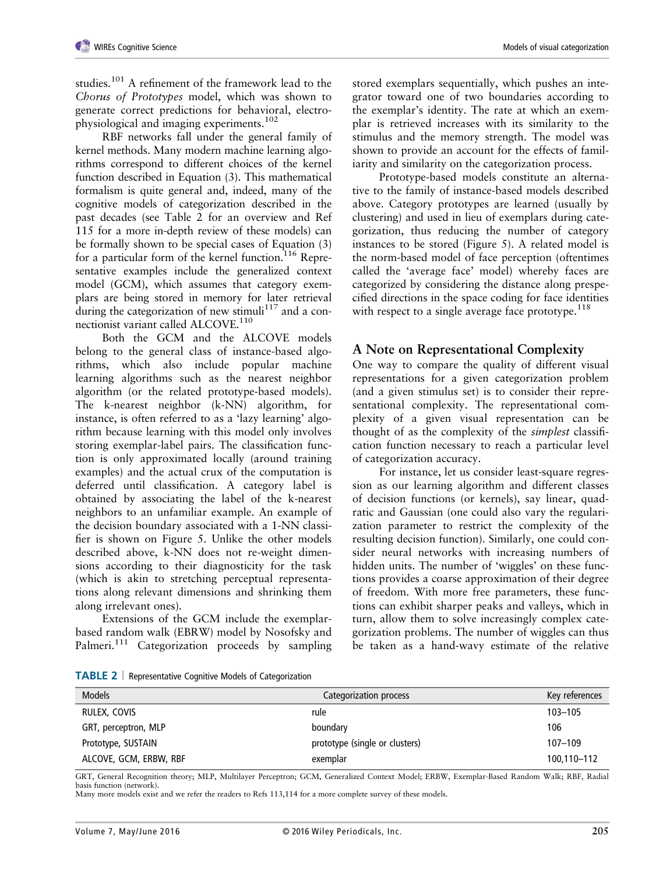studies.<sup>101</sup> A refinement of the framework lead to the *Chorus of Prototypes* model, which was shown to generate correct predictions for behavioral, electrophysiological and imaging experiments.<sup>102</sup>

RBF networks fall under the general family of kernel methods. Many modern machine learning algorithms correspond to different choices of the kernel function described in Equation (3). This mathematical formalism is quite general and, indeed, many of the cognitive models of categorization described in the past decades (see Table 2 for an overview and Ref 115 for a more in-depth review of these models) can be formally shown to be special cases of Equation (3) for a particular form of the kernel function.<sup>116</sup> Representative examples include the generalized context model (GCM), which assumes that category exemplars are being stored in memory for later retrieval during the categorization of new stimuli<sup>117</sup> and a connectionist variant called ALCOVE.<sup>110</sup>

Both the GCM and the ALCOVE models belong to the general class of instance-based algorithms, which also include popular machine learning algorithms such as the nearest neighbor algorithm (or the related prototype-based models). The k-nearest neighbor (k-NN) algorithm, for instance, is often referred to as a 'lazy learning' algorithm because learning with this model only involves storing exemplar-label pairs. The classification function is only approximated locally (around training examples) and the actual crux of the computation is deferred until classification. A category label is obtained by associating the label of the k-nearest neighbors to an unfamiliar example. An example of the decision boundary associated with a 1-NN classifier is shown on Figure 5. Unlike the other models described above, k-NN does not re-weight dimensions according to their diagnosticity for the task (which is akin to stretching perceptual representations along relevant dimensions and shrinking them along irrelevant ones).

Extensions of the GCM include the exemplarbased random walk (EBRW) model by Nosofsky and Palmeri.<sup>111</sup> Categorization proceeds by sampling stored exemplars sequentially, which pushes an integrator toward one of two boundaries according to the exemplar's identity. The rate at which an exemplar is retrieved increases with its similarity to the stimulus and the memory strength. The model was shown to provide an account for the effects of familiarity and similarity on the categorization process.

Prototype-based models constitute an alternative to the family of instance-based models described above. Category prototypes are learned (usually by clustering) and used in lieu of exemplars during categorization, thus reducing the number of category instances to be stored (Figure 5). A related model is the norm-based model of face perception (oftentimes called the 'average face' model) whereby faces are categorized by considering the distance along prespecified directions in the space coding for face identities with respect to a single average face prototype. $118$ 

# **A Note on Representational Complexity**

One way to compare the quality of different visual representations for a given categorization problem (and a given stimulus set) is to consider their representational complexity. The representational complexity of a given visual representation can be thought of as the complexity of the *simplest* classification function necessary to reach a particular level of categorization accuracy.

For instance, let us consider least-square regression as our learning algorithm and different classes of decision functions (or kernels), say linear, quadratic and Gaussian (one could also vary the regularization parameter to restrict the complexity of the resulting decision function). Similarly, one could consider neural networks with increasing numbers of hidden units. The number of 'wiggles' on these functions provides a coarse approximation of their degree of freedom. With more free parameters, these functions can exhibit sharper peaks and valleys, which in turn, allow them to solve increasingly complex categorization problems. The number of wiggles can thus be taken as a hand-wavy estimate of the relative

**TABLE 2** | Representative Cognitive Models of Categorization

| <b>Models</b>          | Categorization process         | Key references |
|------------------------|--------------------------------|----------------|
| RULEX, COVIS           | rule                           | $103 - 105$    |
| GRT, perceptron, MLP   | boundary                       | 106            |
| Prototype, SUSTAIN     | prototype (single or clusters) | $107 - 109$    |
| ALCOVE, GCM, ERBW, RBF | exemplar                       | 100,110-112    |

GRT, General Recognition theory; MLP, Multilayer Perceptron; GCM, Generalized Context Model; ERBW, Exemplar-Based Random Walk; RBF, Radial basis function (network).

Many more models exist and we refer the readers to Refs 113,114 for a more complete survey of these models.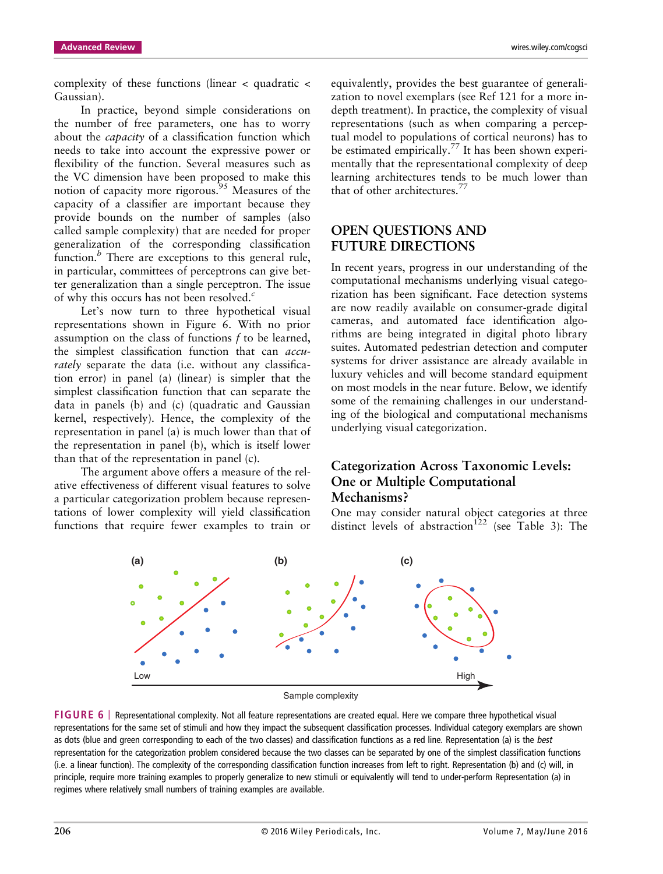complexity of these functions (linear < quadratic < Gaussian).

In practice, beyond simple considerations on the number of free parameters, one has to worry about the *capacity* of a classification function which needs to take into account the expressive power or flexibility of the function. Several measures such as the VC dimension have been proposed to make this notion of capacity more rigorous.<sup>95</sup> Measures of the capacity of a classifier are important because they provide bounds on the number of samples (also called sample complexity) that are needed for proper generalization of the corresponding classification function.*<sup>b</sup>* There are exceptions to this general rule, in particular, committees of perceptrons can give better generalization than a single perceptron. The issue of why this occurs has not been resolved.*<sup>c</sup>*

Let's now turn to three hypothetical visual representations shown in Figure 6. With no prior assumption on the class of functions *f* to be learned, the simplest classification function that can *accurately* separate the data *(i.e. without any classifica*tion error) in panel (a) (linear) is simpler that the simplest classification function that can separate the data in panels (b) and (c) (quadratic and Gaussian kernel, respectively). Hence, the complexity of the representation in panel (a) is much lower than that of the representation in panel (b), which is itself lower than that of the representation in panel (c).

The argument above offers a measure of the relative effectiveness of different visual features to solve a particular categorization problem because representations of lower complexity will yield classification functions that require fewer examples to train or equivalently, provides the best guarantee of generalization to novel exemplars (see Ref 121 for a more indepth treatment). In practice, the complexity of visual representations (such as when comparing a perceptual model to populations of cortical neurons) has to be estimated empirically.<sup>77</sup> It has been shown experimentally that the representational complexity of deep learning architectures tends to be much lower than that of other architectures.<sup>77</sup>

# **OPEN QUESTIONS AND FUTURE DIRECTIONS**

In recent years, progress in our understanding of the computational mechanisms underlying visual categorization has been significant. Face detection systems are now readily available on consumer-grade digital cameras, and automated face identification algorithms are being integrated in digital photo library suites. Automated pedestrian detection and computer systems for driver assistance are already available in luxury vehicles and will become standard equipment on most models in the near future. Below, we identify some of the remaining challenges in our understanding of the biological and computational mechanisms underlying visual categorization.

### **Categorization Across Taxonomic Levels: One or Multiple Computational Mechanisms?**

One may consider natural object categories at three distinct levels of abstraction<sup>122</sup> (see Table 3): The



Sample complexity

**FIGURE 6** | Representational complexity. Not all feature representations are created equal. Here we compare three hypothetical visual representations for the same set of stimuli and how they impact the subsequent classification processes. Individual category exemplars are shown as dots (blue and green corresponding to each of the two classes) and classification functions as a red line. Representation (a) is the best representation for the categorization problem considered because the two classes can be separated by one of the simplest classification functions (i.e. a linear function). The complexity of the corresponding classification function increases from left to right. Representation (b) and (c) will, in principle, require more training examples to properly generalize to new stimuli or equivalently will tend to under-perform Representation (a) in regimes where relatively small numbers of training examples are available.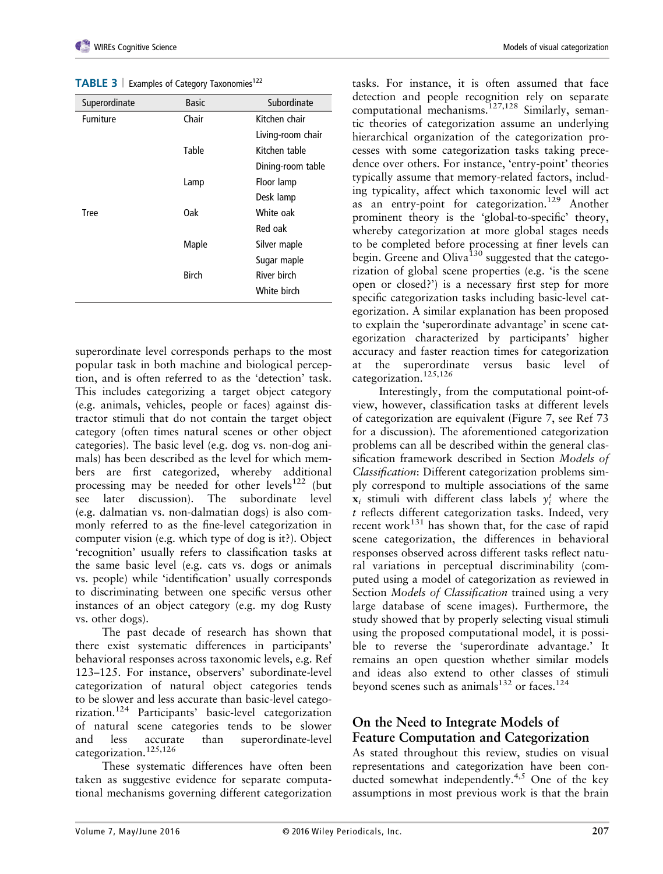| Superordinate    | <b>Basic</b> | Subordinate       |
|------------------|--------------|-------------------|
| <b>Furniture</b> | Chair        | Kitchen chair     |
|                  |              | Living-room chair |
|                  | Table        | Kitchen table     |
|                  |              | Dining-room table |
|                  | Lamp         | Floor lamp        |
|                  |              | Desk lamp         |
| Tree             | 0ak          | White oak         |
|                  |              | Red oak           |
|                  | Maple        | Silver maple      |
|                  |              | Sugar maple       |
|                  | <b>Birch</b> | River birch       |
|                  |              | White birch       |

**TABLE 3** Examples of Category Taxonomies<sup>122</sup>

superordinate level corresponds perhaps to the most popular task in both machine and biological perception, and is often referred to as the 'detection' task. This includes categorizing a target object category (e.g. animals, vehicles, people or faces) against distractor stimuli that do not contain the target object category (often times natural scenes or other object categories). The basic level (e.g. dog vs. non-dog animals) has been described as the level for which members are first categorized, whereby additional processing may be needed for other levels<sup>122</sup> (but see later discussion). The subordinate level (e.g. dalmatian vs. non-dalmatian dogs) is also commonly referred to as the fine-level categorization in computer vision (e.g. which type of dog is it?). Object 'recognition' usually refers to classification tasks at the same basic level (e.g. cats vs. dogs or animals vs. people) while 'identification' usually corresponds to discriminating between one specific versus other instances of an object category (e.g. my dog Rusty vs. other dogs).

The past decade of research has shown that there exist systematic differences in participants' behavioral responses across taxonomic levels, e.g. Ref 123–125. For instance, observers' subordinate-level categorization of natural object categories tends to be slower and less accurate than basic-level categorization.<sup>124</sup> Participants' basic-level categorization of natural scene categories tends to be slower and less accurate than superordinate-level categorization.125,126

These systematic differences have often been taken as suggestive evidence for separate computational mechanisms governing different categorization

tasks. For instance, it is often assumed that face detection and people recognition rely on separate computational mechanisms.<sup>127,128</sup> Similarly, semantic theories of categorization assume an underlying hierarchical organization of the categorization processes with some categorization tasks taking precedence over others. For instance, 'entry-point' theories typically assume that memory-related factors, including typicality, affect which taxonomic level will act as an entry-point for categorization.<sup>129</sup> Another prominent theory is the 'global-to-specific' theory, whereby categorization at more global stages needs to be completed before processing at finer levels can begin. Greene and Oliva<sup>130</sup> suggested that the categorization of global scene properties (e.g. 'is the scene open or closed?') is a necessary first step for more specific categorization tasks including basic-level categorization. A similar explanation has been proposed to explain the 'superordinate advantage' in scene categorization characterized by participants' higher accuracy and faster reaction times for categorization at the superordinate versus basic level of categorization.125,126

Interestingly, from the computational point-ofview, however, classification tasks at different levels of categorization are equivalent (Figure 7, see Ref 73 for a discussion). The aforementioned categorization problems can all be described within the general classification framework described in Section *Models of Classification*: Different categorization problems simply correspond to multiple associations of the same  $\mathbf{x}_i$  stimuli with different class labels  $y_i^t$  where the *t* reflects different categorization tasks. Indeed, very recent work<sup>131</sup> has shown that, for the case of rapid scene categorization, the differences in behavioral responses observed across different tasks reflect natural variations in perceptual discriminability (computed using a model of categorization as reviewed in Section *Models of Classification* trained using a very large database of scene images). Furthermore, the study showed that by properly selecting visual stimuli using the proposed computational model, it is possible to reverse the 'superordinate advantage.' It remains an open question whether similar models and ideas also extend to other classes of stimuli beyond scenes such as animals<sup>132</sup> or faces.<sup>124</sup>

# **On the Need to Integrate Models of Feature Computation and Categorization**

As stated throughout this review, studies on visual representations and categorization have been conducted somewhat independently.<sup>4,5</sup> One of the key assumptions in most previous work is that the brain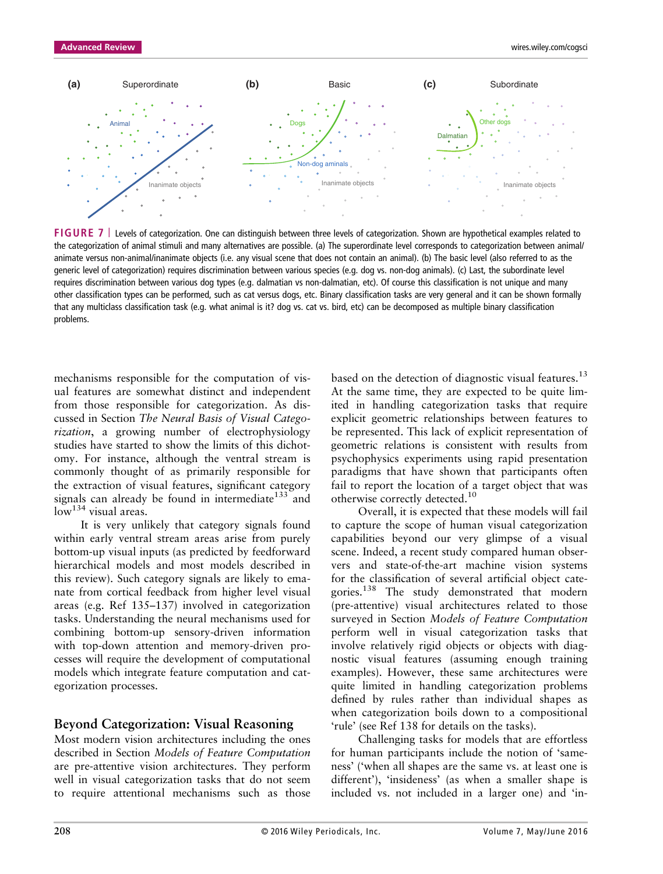

**FIGURE 7** | Levels of categorization. One can distinguish between three levels of categorization. Shown are hypothetical examples related to the categorization of animal stimuli and many alternatives are possible. (a) The superordinate level corresponds to categorization between animal/ animate versus non-animal/inanimate objects (i.e. any visual scene that does not contain an animal). (b) The basic level (also referred to as the generic level of categorization) requires discrimination between various species (e.g. dog vs. non-dog animals). (c) Last, the subordinate level requires discrimination between various dog types (e.g. dalmatian vs non-dalmatian, etc). Of course this classification is not unique and many other classification types can be performed, such as cat versus dogs, etc. Binary classification tasks are very general and it can be shown formally that any multiclass classification task (e.g. what animal is it? dog vs. cat vs. bird, etc) can be decomposed as multiple binary classification problems.

mechanisms responsible for the computation of visual features are somewhat distinct and independent from those responsible for categorization. As discussed in Section *The Neural Basis of Visual Categorization*, a growing number of electrophysiology studies have started to show the limits of this dichotomy. For instance, although the ventral stream is commonly thought of as primarily responsible for the extraction of visual features, significant category signals can already be found in intermediate<sup>133</sup> and  $low<sup>134</sup>$  visual areas.

It is very unlikely that category signals found within early ventral stream areas arise from purely bottom-up visual inputs (as predicted by feedforward hierarchical models and most models described in this review). Such category signals are likely to emanate from cortical feedback from higher level visual areas (e.g. Ref 135–137) involved in categorization tasks. Understanding the neural mechanisms used for combining bottom-up sensory-driven information with top-down attention and memory-driven processes will require the development of computational models which integrate feature computation and categorization processes.

#### **Beyond Categorization: Visual Reasoning**

Most modern vision architectures including the ones described in Section *Models of Feature Computation* are pre-attentive vision architectures. They perform well in visual categorization tasks that do not seem to require attentional mechanisms such as those based on the detection of diagnostic visual features.<sup>13</sup> At the same time, they are expected to be quite limited in handling categorization tasks that require explicit geometric relationships between features to be represented. This lack of explicit representation of geometric relations is consistent with results from psychophysics experiments using rapid presentation paradigms that have shown that participants often fail to report the location of a target object that was otherwise correctly detected.<sup>10</sup>

Overall, it is expected that these models will fail to capture the scope of human visual categorization capabilities beyond our very glimpse of a visual scene. Indeed, a recent study compared human observers and state-of-the-art machine vision systems for the classification of several artificial object categories.<sup>138</sup> The study demonstrated that modern (pre-attentive) visual architectures related to those surveyed in Section *Models of Feature Computation* perform well in visual categorization tasks that involve relatively rigid objects or objects with diagnostic visual features (assuming enough training examples). However, these same architectures were quite limited in handling categorization problems defined by rules rather than individual shapes as when categorization boils down to a compositional 'rule' (see Ref 138 for details on the tasks).

Challenging tasks for models that are effortless for human participants include the notion of 'sameness' ('when all shapes are the same vs. at least one is different'), 'insideness' (as when a smaller shape is included vs. not included in a larger one) and 'in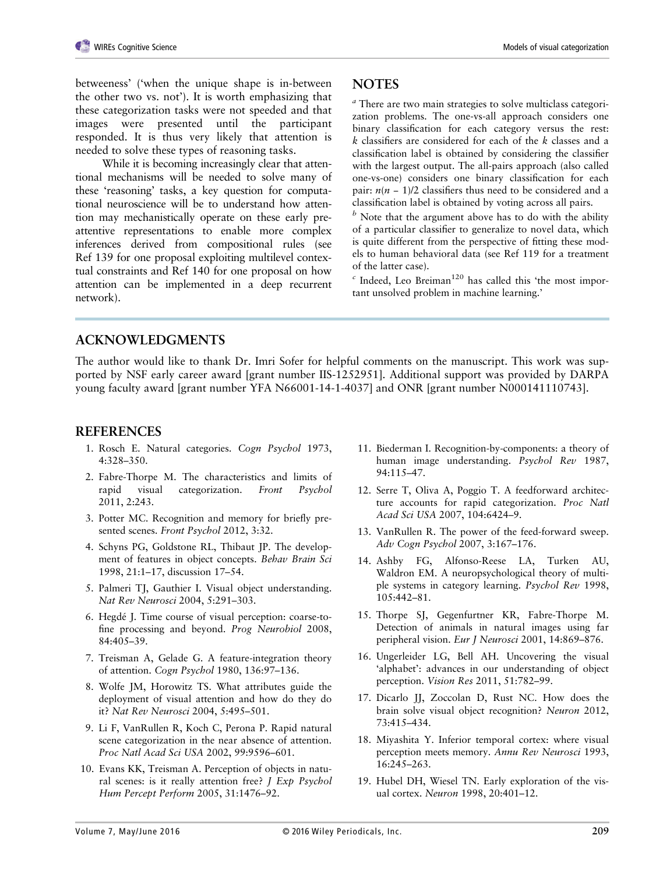betweeness' ('when the unique shape is in-between the other two vs. not'). It is worth emphasizing that these categorization tasks were not speeded and that images were presented until the participant responded. It is thus very likely that attention is needed to solve these types of reasoning tasks.

While it is becoming increasingly clear that attentional mechanisms will be needed to solve many of these 'reasoning' tasks, a key question for computational neuroscience will be to understand how attention may mechanistically operate on these early preattentive representations to enable more complex inferences derived from compositional rules (see Ref 139 for one proposal exploiting multilevel contextual constraints and Ref 140 for one proposal on how attention can be implemented in a deep recurrent network).

# **NOTES**

*<sup>a</sup>* There are two main strategies to solve multiclass categorization problems. The one-vs-all approach considers one binary classification for each category versus the rest: *k* classifiers are considered for each of the *k* classes and a classification label is obtained by considering the classifier with the largest output. The all-pairs approach (also called one-vs-one) considers one binary classification for each pair: *n*(*n* − 1)/2 classifiers thus need to be considered and a classification label is obtained by voting across all pairs.

*<sup>b</sup>* Note that the argument above has to do with the ability of a particular classifier to generalize to novel data, which is quite different from the perspective of fitting these models to human behavioral data (see Ref 119 for a treatment of the latter case).

<sup>c</sup> Indeed, Leo Breiman<sup>120</sup> has called this 'the most important unsolved problem in machine learning.'

# **ACKNOWLEDGMENTS**

The author would like to thank Dr. Imri Sofer for helpful comments on the manuscript. This work was supported by NSF early career award [grant number IIS-1252951]. Additional support was provided by DARPA young faculty award [grant number YFA N66001-14-1-4037] and ONR [grant number N000141110743].

### **REFERENCES**

- 1. Rosch E. Natural categories. *Cogn Psychol* 1973, 4:328–350.
- 2. Fabre-Thorpe M. The characteristics and limits of rapid visual categorization. *Front Psychol* 2011, 2:243.
- 3. Potter MC. Recognition and memory for briefly presented scenes. *Front Psychol* 2012, 3:32.
- 4. Schyns PG, Goldstone RL, Thibaut JP. The development of features in object concepts. *Behav Brain Sci* 1998, 21:1–17, discussion 17–54.
- 5. Palmeri TJ, Gauthier I. Visual object understanding. *Nat Rev Neurosci* 2004, 5:291–303.
- 6. Hegdé J. Time course of visual perception: coarse-tofine processing and beyond. *Prog Neurobiol* 2008, 84:405–39.
- 7. Treisman A, Gelade G. A feature-integration theory of attention. *Cogn Psychol* 1980, 136:97–136.
- 8. Wolfe JM, Horowitz TS. What attributes guide the deployment of visual attention and how do they do it? *Nat Rev Neurosci* 2004, 5:495–501.
- 9. Li F, VanRullen R, Koch C, Perona P. Rapid natural scene categorization in the near absence of attention. *Proc Natl Acad Sci USA* 2002, 99:9596–601.
- 10. Evans KK, Treisman A. Perception of objects in natural scenes: is it really attention free? *J Exp Psychol Hum Percept Perform* 2005, 31:1476–92.
- 11. Biederman I. Recognition-by-components: a theory of human image understanding. *Psychol Rev* 1987, 94:115–47.
- 12. Serre T, Oliva A, Poggio T. A feedforward architecture accounts for rapid categorization. *Proc Natl Acad Sci USA* 2007, 104:6424–9.
- 13. VanRullen R. The power of the feed-forward sweep. *Adv Cogn Psychol* 2007, 3:167–176.
- 14. Ashby FG, Alfonso-Reese LA, Turken AU, Waldron EM. A neuropsychological theory of multiple systems in category learning. *Psychol Rev* 1998, 105:442–81.
- 15. Thorpe SJ, Gegenfurtner KR, Fabre-Thorpe M. Detection of animals in natural images using far peripheral vision. *Eur J Neurosci* 2001, 14:869–876.
- 16. Ungerleider LG, Bell AH. Uncovering the visual 'alphabet': advances in our understanding of object perception. *Vision Res* 2011, 51:782–99.
- 17. Dicarlo JJ, Zoccolan D, Rust NC. How does the brain solve visual object recognition? *Neuron* 2012, 73:415–434.
- 18. Miyashita Y. Inferior temporal cortex: where visual perception meets memory. *Annu Rev Neurosci* 1993, 16:245–263.
- 19. Hubel DH, Wiesel TN. Early exploration of the visual cortex. *Neuron* 1998, 20:401–12.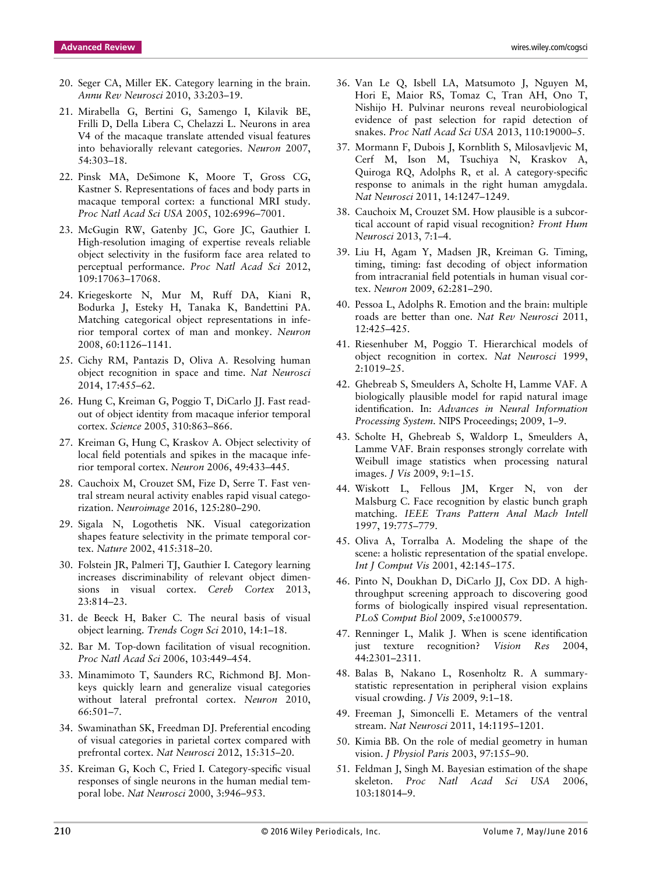- 20. Seger CA, Miller EK. Category learning in the brain. *Annu Rev Neurosci* 2010, 33:203–19.
- 21. Mirabella G, Bertini G, Samengo I, Kilavik BE, Frilli D, Della Libera C, Chelazzi L. Neurons in area V4 of the macaque translate attended visual features into behaviorally relevant categories. *Neuron* 2007, 54:303–18.
- 22. Pinsk MA, DeSimone K, Moore T, Gross CG, Kastner S. Representations of faces and body parts in macaque temporal cortex: a functional MRI study. *Proc Natl Acad Sci USA* 2005, 102:6996–7001.
- 23. McGugin RW, Gatenby JC, Gore JC, Gauthier I. High-resolution imaging of expertise reveals reliable object selectivity in the fusiform face area related to perceptual performance. *Proc Natl Acad Sci* 2012, 109:17063–17068.
- 24. Kriegeskorte N, Mur M, Ruff DA, Kiani R, Bodurka J, Esteky H, Tanaka K, Bandettini PA. Matching categorical object representations in inferior temporal cortex of man and monkey. *Neuron* 2008, 60:1126–1141.
- 25. Cichy RM, Pantazis D, Oliva A. Resolving human object recognition in space and time. *Nat Neurosci* 2014, 17:455–62.
- 26. Hung C, Kreiman G, Poggio T, DiCarlo JJ. Fast readout of object identity from macaque inferior temporal cortex. *Science* 2005, 310:863–866.
- 27. Kreiman G, Hung C, Kraskov A. Object selectivity of local field potentials and spikes in the macaque inferior temporal cortex. *Neuron* 2006, 49:433–445.
- 28. Cauchoix M, Crouzet SM, Fize D, Serre T. Fast ventral stream neural activity enables rapid visual categorization. *Neuroimage* 2016, 125:280–290.
- 29. Sigala N, Logothetis NK. Visual categorization shapes feature selectivity in the primate temporal cortex. *Nature* 2002, 415:318–20.
- 30. Folstein JR, Palmeri TJ, Gauthier I. Category learning increases discriminability of relevant object dimensions in visual cortex. *Cereb Cortex* 2013, 23:814–23.
- 31. de Beeck H, Baker C. The neural basis of visual object learning. *Trends Cogn Sci* 2010, 14:1–18.
- 32. Bar M. Top-down facilitation of visual recognition. *Proc Natl Acad Sci* 2006, 103:449–454.
- 33. Minamimoto T, Saunders RC, Richmond BJ. Monkeys quickly learn and generalize visual categories without lateral prefrontal cortex. *Neuron* 2010, 66:501–7.
- 34. Swaminathan SK, Freedman DJ. Preferential encoding of visual categories in parietal cortex compared with prefrontal cortex. *Nat Neurosci* 2012, 15:315–20.
- 35. Kreiman G, Koch C, Fried I. Category-specific visual responses of single neurons in the human medial temporal lobe. *Nat Neurosci* 2000, 3:946–953.
- 36. Van Le Q, Isbell LA, Matsumoto J, Nguyen M, Hori E, Maior RS, Tomaz C, Tran AH, Ono T, Nishijo H. Pulvinar neurons reveal neurobiological evidence of past selection for rapid detection of snakes. *Proc Natl Acad Sci USA* 2013, 110:19000–5.
- 37. Mormann F, Dubois J, Kornblith S, Milosavljevic M, Cerf M, Ison M, Tsuchiya N, Kraskov A, Quiroga RQ, Adolphs R, et al. A category-specific response to animals in the right human amygdala. *Nat Neurosci* 2011, 14:1247–1249.
- 38. Cauchoix M, Crouzet SM. How plausible is a subcortical account of rapid visual recognition? *Front Hum Neurosci* 2013, 7:1–4.
- 39. Liu H, Agam Y, Madsen JR, Kreiman G. Timing, timing, timing: fast decoding of object information from intracranial field potentials in human visual cortex. *Neuron* 2009, 62:281–290.
- 40. Pessoa L, Adolphs R. Emotion and the brain: multiple roads are better than one. *Nat Rev Neurosci* 2011, 12:425–425.
- 41. Riesenhuber M, Poggio T. Hierarchical models of object recognition in cortex. *Nat Neurosci* 1999, 2:1019–25.
- 42. Ghebreab S, Smeulders A, Scholte H, Lamme VAF. A biologically plausible model for rapid natural image identification. In: *Advances in Neural Information Processing System*. NIPS Proceedings; 2009, 1–9.
- 43. Scholte H, Ghebreab S, Waldorp L, Smeulders A, Lamme VAF. Brain responses strongly correlate with Weibull image statistics when processing natural images. *J Vis* 2009, 9:1–15.
- 44. Wiskott L, Fellous JM, Krger N, von der Malsburg C. Face recognition by elastic bunch graph matching. *IEEE Trans Pattern Anal Mach Intell* 1997, 19:775–779.
- 45. Oliva A, Torralba A. Modeling the shape of the scene: a holistic representation of the spatial envelope. *Int J Comput Vis* 2001, 42:145–175.
- 46. Pinto N, Doukhan D, DiCarlo JJ, Cox DD. A highthroughput screening approach to discovering good forms of biologically inspired visual representation. *PLoS Comput Biol* 2009, 5:e1000579.
- 47. Renninger L, Malik J. When is scene identification just texture recognition? *Vision Res* 2004, 44:2301–2311.
- 48. Balas B, Nakano L, Rosenholtz R. A summarystatistic representation in peripheral vision explains visual crowding. *J Vis* 2009, 9:1–18.
- 49. Freeman J, Simoncelli E. Metamers of the ventral stream. *Nat Neurosci* 2011, 14:1195–1201.
- 50. Kimia BB. On the role of medial geometry in human vision. *J Physiol Paris* 2003, 97:155–90.
- 51. Feldman J, Singh M. Bayesian estimation of the shape skeleton. *Proc Natl Acad Sci USA* 2006, 103:18014–9.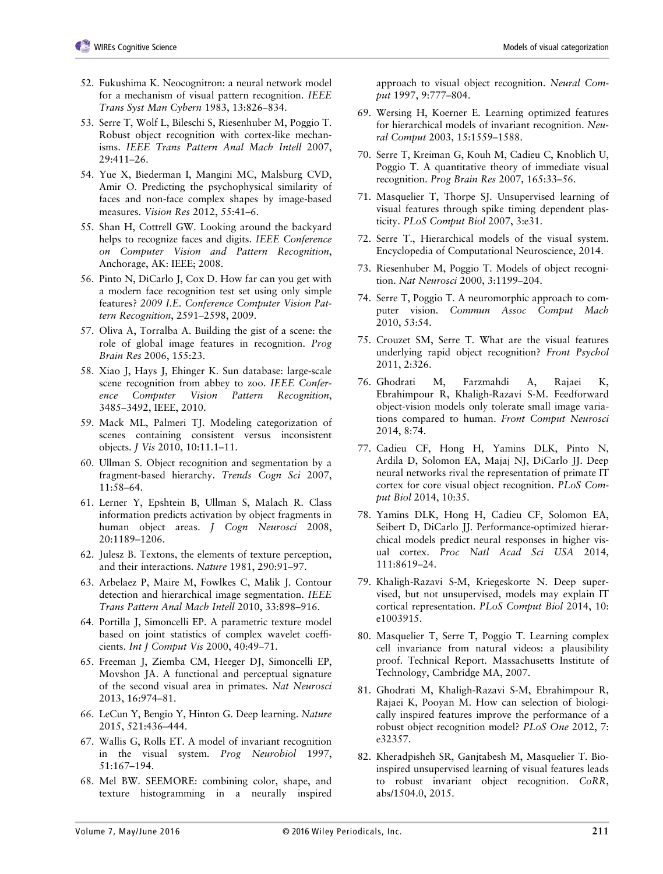- 52. Fukushima K. Neocognitron: a neural network model for a mechanism of visual pattern recognition. *IEEE Trans Syst Man Cybern* 1983, 13:826–834.
- 53. Serre T, Wolf L, Bileschi S, Riesenhuber M, Poggio T. Robust object recognition with cortex-like mechanisms. *IEEE Trans Pattern Anal Mach Intell* 2007, 29:411–26.
- 54. Yue X, Biederman I, Mangini MC, Malsburg CVD, Amir O. Predicting the psychophysical similarity of faces and non-face complex shapes by image-based measures. *Vision Res* 2012, 55:41–6.
- 55. Shan H, Cottrell GW. Looking around the backyard helps to recognize faces and digits. *IEEE Conference on Computer Vision and Pattern Recognition*, Anchorage, AK: IEEE; 2008.
- 56. Pinto N, DiCarlo J, Cox D. How far can you get with a modern face recognition test set using only simple features? *2009 I.E. Conference Computer Vision Pattern Recognition*, 2591–2598, 2009.
- 57. Oliva A, Torralba A. Building the gist of a scene: the role of global image features in recognition. *Prog Brain Res* 2006, 155:23.
- 58. Xiao J, Hays J, Ehinger K. Sun database: large-scale scene recognition from abbey to zoo. *IEEE Conference Computer Vision Pattern Recognition*, 3485–3492, IEEE, 2010.
- 59. Mack ML, Palmeri TJ. Modeling categorization of scenes containing consistent versus inconsistent objects. *J Vis* 2010, 10:11.1–11.
- 60. Ullman S. Object recognition and segmentation by a fragment-based hierarchy. *Trends Cogn Sci* 2007, 11:58–64.
- 61. Lerner Y, Epshtein B, Ullman S, Malach R. Class information predicts activation by object fragments in human object areas. *J Cogn Neurosci* 2008, 20:1189–1206.
- 62. Julesz B. Textons, the elements of texture perception, and their interactions. *Nature* 1981, 290:91–97.
- 63. Arbelaez P, Maire M, Fowlkes C, Malik J. Contour detection and hierarchical image segmentation. *IEEE Trans Pattern Anal Mach Intell* 2010, 33:898–916.
- 64. Portilla J, Simoncelli EP. A parametric texture model based on joint statistics of complex wavelet coefficients. *Int J Comput Vis* 2000, 40:49–71.
- 65. Freeman J, Ziemba CM, Heeger DJ, Simoncelli EP, Movshon JA. A functional and perceptual signature of the second visual area in primates. *Nat Neurosci* 2013, 16:974–81.
- 66. LeCun Y, Bengio Y, Hinton G. Deep learning. *Nature* 2015, 521:436–444.
- 67. Wallis G, Rolls ET. A model of invariant recognition in the visual system. *Prog Neurobiol* 1997, 51:167–194.
- 68. Mel BW. SEEMORE: combining color, shape, and texture histogramming in a neurally inspired

approach to visual object recognition. *Neural Comput* 1997, 9:777–804.

- 69. Wersing H, Koerner E. Learning optimized features for hierarchical models of invariant recognition. *Neural Comput* 2003, 15:1559–1588.
- 70. Serre T, Kreiman G, Kouh M, Cadieu C, Knoblich U, Poggio T. A quantitative theory of immediate visual recognition. *Prog Brain Res* 2007, 165:33–56.
- 71. Masquelier T, Thorpe SJ. Unsupervised learning of visual features through spike timing dependent plasticity. *PLoS Comput Biol* 2007, 3:e31.
- 72. Serre T., Hierarchical models of the visual system. Encyclopedia of Computational Neuroscience, 2014.
- 73. Riesenhuber M, Poggio T. Models of object recognition. *Nat Neurosci* 2000, 3:1199–204.
- 74. Serre T, Poggio T. A neuromorphic approach to computer vision. *Commun Assoc Comput Mach* 2010, 53:54.
- 75. Crouzet SM, Serre T. What are the visual features underlying rapid object recognition? *Front Psychol* 2011, 2:326.
- 76. Ghodrati M, Farzmahdi A, Rajaei K, Ebrahimpour R, Khaligh-Razavi S-M. Feedforward object-vision models only tolerate small image variations compared to human. *Front Comput Neurosci* 2014, 8:74.
- 77. Cadieu CF, Hong H, Yamins DLK, Pinto N, Ardila D, Solomon EA, Majaj NJ, DiCarlo JJ. Deep neural networks rival the representation of primate IT cortex for core visual object recognition. *PLoS Comput Biol* 2014, 10:35.
- 78. Yamins DLK, Hong H, Cadieu CF, Solomon EA, Seibert D, DiCarlo JJ. Performance-optimized hierarchical models predict neural responses in higher visual cortex. *Proc Natl Acad Sci USA* 2014, 111:8619–24.
- 79. Khaligh-Razavi S-M, Kriegeskorte N. Deep supervised, but not unsupervised, models may explain IT cortical representation. *PLoS Comput Biol* 2014, 10: e1003915.
- 80. Masquelier T, Serre T, Poggio T. Learning complex cell invariance from natural videos: a plausibility proof. Technical Report. Massachusetts Institute of Technology, Cambridge MA, 2007.
- 81. Ghodrati M, Khaligh-Razavi S-M, Ebrahimpour R, Rajaei K, Pooyan M. How can selection of biologically inspired features improve the performance of a robust object recognition model? *PLoS One* 2012, 7: e32357.
- 82. Kheradpisheh SR, Ganjtabesh M, Masquelier T. Bioinspired unsupervised learning of visual features leads to robust invariant object recognition. *CoRR*, abs/1504.0, 2015.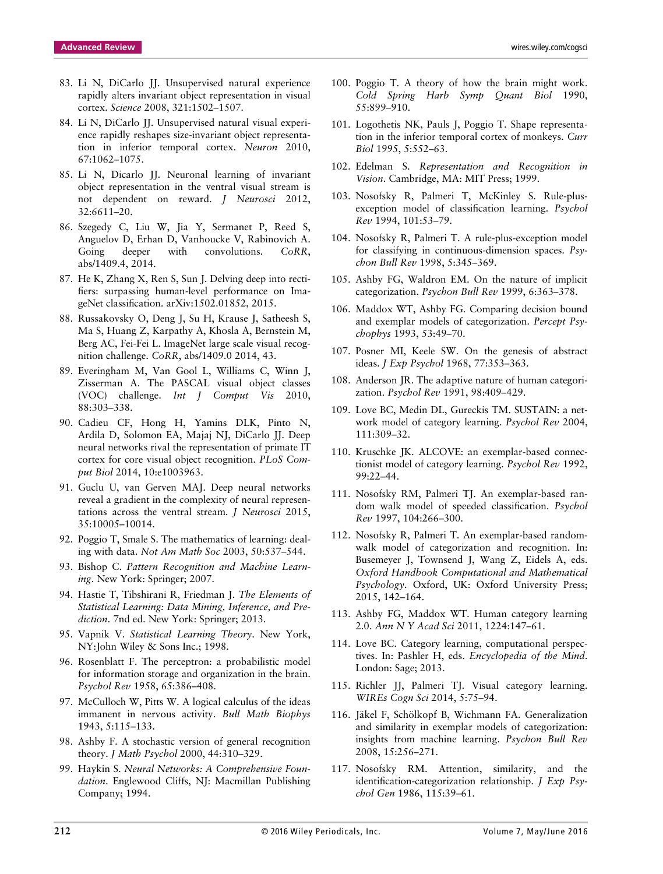- 83. Li N, DiCarlo JJ. Unsupervised natural experience rapidly alters invariant object representation in visual cortex. *Science* 2008, 321:1502–1507.
- 84. Li N, DiCarlo JJ. Unsupervised natural visual experience rapidly reshapes size-invariant object representation in inferior temporal cortex. *Neuron* 2010, 67:1062–1075.
- 85. Li N, Dicarlo JJ. Neuronal learning of invariant object representation in the ventral visual stream is not dependent on reward. *J Neurosci* 2012, 32:6611–20.
- 86. Szegedy C, Liu W, Jia Y, Sermanet P, Reed S, Anguelov D, Erhan D, Vanhoucke V, Rabinovich A. Going deeper with convolutions. *CoRR*, abs/1409.4, 2014.
- 87. He K, Zhang X, Ren S, Sun J. Delving deep into rectifiers: surpassing human-level performance on ImageNet classification. arXiv:1502.01852, 2015.
- 88. Russakovsky O, Deng J, Su H, Krause J, Satheesh S, Ma S, Huang Z, Karpathy A, Khosla A, Bernstein M, Berg AC, Fei-Fei L. ImageNet large scale visual recognition challenge. *CoRR*, abs/1409.0 2014, 43.
- 89. Everingham M, Van Gool L, Williams C, Winn J, Zisserman A. The PASCAL visual object classes (VOC) challenge. *Int J Comput Vis* 2010, 88:303–338.
- 90. Cadieu CF, Hong H, Yamins DLK, Pinto N, Ardila D, Solomon EA, Majaj NJ, DiCarlo JJ. Deep neural networks rival the representation of primate IT cortex for core visual object recognition. *PLoS Comput Biol* 2014, 10:e1003963.
- 91. Guclu U, van Gerven MAJ. Deep neural networks reveal a gradient in the complexity of neural representations across the ventral stream. *J Neurosci* 2015, 35:10005–10014.
- 92. Poggio T, Smale S. The mathematics of learning: dealing with data. *Not Am Math Soc* 2003, 50:537–544.
- 93. Bishop C. *Pattern Recognition and Machine Learning*. New York: Springer; 2007.
- 94. Hastie T, Tibshirani R, Friedman J. *The Elements of Statistical Learning: Data Mining, Inference, and Prediction*. 7nd ed. New York: Springer; 2013.
- 95. Vapnik V. *Statistical Learning Theory*. New York, NY:John Wiley & Sons Inc.; 1998.
- 96. Rosenblatt F. The perceptron: a probabilistic model for information storage and organization in the brain. *Psychol Rev* 1958, 65:386–408.
- 97. McCulloch W, Pitts W. A logical calculus of the ideas immanent in nervous activity. *Bull Math Biophys* 1943, 5:115–133.
- 98. Ashby F. A stochastic version of general recognition theory. *J Math Psychol* 2000, 44:310–329.
- 99. Haykin S. *Neural Networks: A Comprehensive Foundation*. Englewood Cliffs, NJ: Macmillan Publishing Company; 1994.
- 100. Poggio T. A theory of how the brain might work. *Cold Spring Harb Symp Quant Biol* 1990, 55:899–910.
- 101. Logothetis NK, Pauls J, Poggio T. Shape representation in the inferior temporal cortex of monkeys. *Curr Biol* 1995, 5:552–63.
- 102. Edelman S. *Representation and Recognition in Vision*. Cambridge, MA: MIT Press; 1999.
- 103. Nosofsky R, Palmeri T, McKinley S. Rule-plusexception model of classification learning. *Psychol Rev* 1994, 101:53–79.
- 104. Nosofsky R, Palmeri T. A rule-plus-exception model for classifying in continuous-dimension spaces. *Psychon Bull Rev* 1998, 5:345–369.
- 105. Ashby FG, Waldron EM. On the nature of implicit categorization. *Psychon Bull Rev* 1999, 6:363–378.
- 106. Maddox WT, Ashby FG. Comparing decision bound and exemplar models of categorization. *Percept Psychophys* 1993, 53:49–70.
- 107. Posner MI, Keele SW. On the genesis of abstract ideas. *J Exp Psychol* 1968, 77:353–363.
- 108. Anderson JR. The adaptive nature of human categorization. *Psychol Rev* 1991, 98:409–429.
- 109. Love BC, Medin DL, Gureckis TM. SUSTAIN: a network model of category learning. *Psychol Rev* 2004, 111:309–32.
- 110. Kruschke JK. ALCOVE: an exemplar-based connectionist model of category learning. *Psychol Rev* 1992, 99:22–44.
- 111. Nosofsky RM, Palmeri TJ. An exemplar-based random walk model of speeded classification. *Psychol Rev* 1997, 104:266–300.
- 112. Nosofsky R, Palmeri T. An exemplar-based randomwalk model of categorization and recognition. In: Busemeyer J, Townsend J, Wang Z, Eidels A, eds. *Oxford Handbook Computational and Mathematical Psychology*. Oxford, UK: Oxford University Press; 2015, 142–164.
- 113. Ashby FG, Maddox WT. Human category learning 2.0. *Ann N Y Acad Sci* 2011, 1224:147–61.
- 114. Love BC. Category learning, computational perspectives. In: Pashler H, eds. *Encyclopedia of the Mind*. London: Sage; 2013.
- 115. Richler JJ, Palmeri TJ. Visual category learning. *WIREs Cogn Sci* 2014, 5:75–94.
- 116. Jäkel F, Schölkopf B, Wichmann FA. Generalization and similarity in exemplar models of categorization: insights from machine learning. *Psychon Bull Rev* 2008, 15:256–271.
- 117. Nosofsky RM. Attention, similarity, and the identification-categorization relationship. *J Exp Psychol Gen* 1986, 115:39–61.